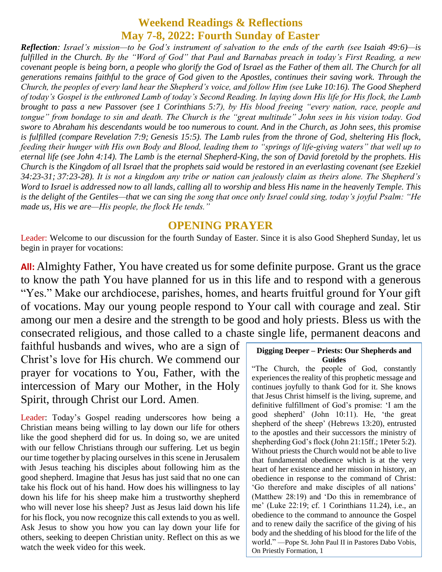# **Weekend Readings & Reflections May 7-8, 2022: Fourth Sunday of Easter**

*Reflection: Israel's mission—to be God's instrument of salvation to the ends of the earth (see [Isaiah 49:6\)](https://biblia.com/bible/rsvce/Isa%2049.6)—is fulfilled in the Church. By the "Word of God" that Paul and Barnabas preach in today's First Reading, a new covenant people is being born, a people who glorify the God of Israel as the Father of them all. The Church for all generations remains faithful to the grace of God given to the Apostles, continues their saving work. Through the Church, the peoples of every land hear the Shepherd's voice, and follow Him (see [Luke 10:16\)](https://biblia.com/bible/rsvce/Luke%2010.16). The Good Shepherd of today's Gospel is the enthroned Lamb of today's Second Reading. In laying down His life for His flock, the Lamb brought to pass a new Passover (see [1 Corinthians 5:7\)](https://biblia.com/bible/rsvce/1%20Cor%205.7), by His blood freeing "every nation, race, people and tongue" from bondage to sin and death. The Church is the "great multitude" John sees in his vision today. God swore to Abraham his descendants would be too numerous to count. And in the Church, as John sees, this promise is fulfilled (compare [Revelation 7:9;](https://biblia.com/bible/rsvce/Rev%207.9) [Genesis 15:5\)](https://biblia.com/bible/rsvce/Gen%2015.5). The Lamb rules from the throne of God, sheltering His flock, feeding their hunger with His own Body and Blood, leading them to "springs of life-giving waters" that well up to eternal life (see [John 4:14\)](https://biblia.com/bible/rsvce/John%204.14). The Lamb is the eternal Shepherd-King, the son of David foretold by the prophets. His Church is the Kingdom of all Israel that the prophets said would be restored in an everlasting covenant (see [Ezekiel](https://biblia.com/bible/rsvce/Ezek%2034.23-31)  [34:23-31;](https://biblia.com/bible/rsvce/Ezek%2034.23-31) [37:23-28\)](https://biblia.com/bible/rsvce/Ezekiel%2037.23-28). It is not a kingdom any tribe or nation can jealously claim as theirs alone. The Shepherd's Word to Israel is addressed now to all lands, calling all to worship and bless His name in the heavenly Temple. This is the delight of the Gentiles—that we can sing the song that once only Israel could sing, today's joyful Psalm: "He made us, His we are—His people, the flock He tends."*

#### **OPENING PRAYER**

Leader: Welcome to our discussion for the fourth Sunday of Easter. Since it is also Good Shepherd Sunday, let us begin in prayer for vocations:

**All:** Almighty Father, You have created us for some definite purpose. Grant us the grace to know the path You have planned for us in this life and to respond with a generous "Yes." Make our archdiocese, parishes, homes, and hearts fruitful ground for Your gift of vocations. May our young people respond to Your call with courage and zeal. Stir among our men a desire and the strength to be good and holy priests. Bless us with the consecrated religious, and those called to a chaste single life, permanent deacons and

faithful husbands and wives, who are a sign of Christ's love for His church. We commend our prayer for vocations to You, Father, with the intercession of Mary our Mother, in the Holy Spirit, through Christ our Lord. Amen.

Leader: Today's Gospel reading underscores how being a Christian means being willing to lay down our life for others like the good shepherd did for us. In doing so, we are united with our fellow Christians through our suffering. Let us begin our time together by placing ourselves in this scene in Jerusalem with Jesus teaching his disciples about following him as the good shepherd. Imagine that Jesus has just said that no one can take his flock out of his hand. How does his willingness to lay down his life for his sheep make him a trustworthy shepherd who will never lose his sheep? Just as Jesus laid down his life for his flock, you now recognize this call extends to you as well. Ask Jesus to show you how you can lay down your life for others, seeking to deepen Christian unity. Reflect on this as we watch the week video for this week.

#### **Digging Deeper – Priests: Our Shepherds and Guides**

"The Church, the people of God, constantly experiences the reality of this prophetic message and continues joyfully to thank God for it. She knows that Jesus Christ himself is the living, supreme, and definitive fulfillment of God's promise: 'I am the good shepherd' (John 10:11). He, 'the great shepherd of the sheep' (Hebrews 13:20), entrusted to the apostles and their successors the ministry of shepherding God's flock (John 21:15ff.; 1Peter 5:2). Without priests the Church would not be able to live that fundamental obedience which is at the very heart of her existence and her mission in history, an obedience in response to the command of Christ: 'Go therefore and make disciples of all nations' (Matthew 28:19) and 'Do this in remembrance of me' (Luke 22:19; cf. 1 Corinthians 11.24), i.e., an obedience to the command to announce the Gospel and to renew daily the sacrifice of the giving of his body and the shedding of his blood for the life of the world." —Pope St. John Paul II in Pastores Dabo Vobis, On Priestly Formation, 1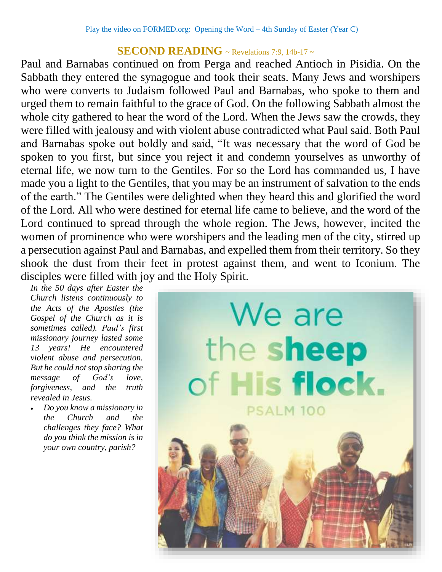### **SECOND READING**  $\sim$  Revelations 7:9, 14b-17  $\sim$

Paul and Barnabas continued on from Perga and reached Antioch in Pisidia. On the Sabbath they entered the synagogue and took their seats. Many Jews and worshipers who were converts to Judaism followed Paul and Barnabas, who spoke to them and urged them to remain faithful to the grace of God. On the following Sabbath almost the whole city gathered to hear the word of the Lord. When the Jews saw the crowds, they were filled with jealousy and with violent abuse contradicted what Paul said. Both Paul and Barnabas spoke out boldly and said, "It was necessary that the word of God be spoken to you first, but since you reject it and condemn yourselves as unworthy of eternal life, we now turn to the Gentiles. For so the Lord has commanded us, I have made you a light to the Gentiles, that you may be an instrument of salvation to the ends of the earth." The Gentiles were delighted when they heard this and glorified the word of the Lord. All who were destined for eternal life came to believe, and the word of the Lord continued to spread through the whole region. The Jews, however, incited the women of prominence who were worshipers and the leading men of the city, stirred up a persecution against Paul and Barnabas, and expelled them from their territory. So they shook the dust from their feet in protest against them, and went to Iconium. The disciples were filled with joy and the Holy Spirit.

*In the 50 days after Easter the Church listens continuously to the Acts of the Apostles (the Gospel of the Church as it is sometimes called). Paul's first missionary journey lasted some 13 years! He encountered violent abuse and persecution. But he could not stop sharing the message of God's love, forgiveness, and the truth revealed in Jesus.* 

 *Do you know a missionary in the Church and the challenges they face? What do you think the mission is in your own country, parish?*

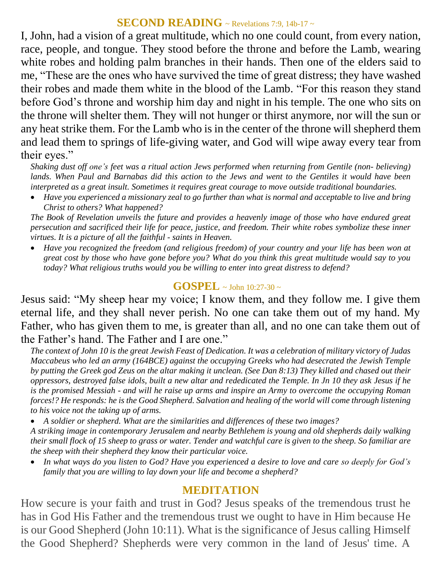### **SECOND READING** ~ Revelations 7:9, 14b-17 ~

I, John, had a vision of a great multitude, which no one could count, from every nation, race, people, and tongue. They stood before the throne and before the Lamb, wearing white robes and holding palm branches in their hands. Then one of the elders said to me, "These are the ones who have survived the time of great distress; they have washed their robes and made them white in the blood of the Lamb. "For this reason they stand before God's throne and worship him day and night in his temple. The one who sits on the throne will shelter them. They will not hunger or thirst anymore, nor will the sun or any heat strike them. For the Lamb who is in the center of the throne will shepherd them and lead them to springs of life-giving water, and God will wipe away every tear from their eyes."

*Shaking dust off one's feet was a ritual action Jews performed when returning from Gentile (non- believing) lands. When Paul and Barnabas did this action to the Jews and went to the Gentiles it would have been interpreted as a great insult. Sometimes it requires great courage to move outside traditional boundaries.*

 *Have you experienced a missionary zeal to go further than what is normal and acceptable to live and bring Christ to others? What happened?*

*The Book of Revelation unveils the future and provides a heavenly image of those who have endured great persecution and sacrificed their life for peace, justice, and freedom. Their white robes symbolize these inner virtues. It is a picture of all the faithful - saints in Heaven.* 

 *Have you recognized the freedom (and religious freedom) of your country and your life has been won at great cost by those who have gone before you? What do you think this great multitude would say to you today? What religious truths would you be willing to enter into great distress to defend?*

## **GOSPEL**  $\sim$  John 10:27-30  $\sim$

Jesus said: "My sheep hear my voice; I know them, and they follow me. I give them eternal life, and they shall never perish. No one can take them out of my hand. My Father, who has given them to me, is greater than all, and no one can take them out of the Father's hand. The Father and I are one."

*The context of John 10 is the great Jewish Feast of Dedication. It was a celebration of military victory of Judas Maccabeus who led an army (164BCE) against the occupying Greeks who had desecrated the Jewish Temple by putting the Greek god Zeus on the altar making it unclean. (See Dan 8:13) They killed and chased out their oppressors, destroyed false idols, built a new altar and rededicated the Temple. In Jn 10 they ask Jesus if he is the promised Messiah - and will he raise up arms and inspire an Army to overcome the occupying Roman forces!? He responds: he is the Good Shepherd. Salvation and healing of the world will come through listening to his voice not the taking up of arms.* 

*A soldier or shepherd. What are the similarities and differences of these two images?*

*A striking image in contemporary Jerusalem and nearby Bethlehem is young and old shepherds daily walking their small flock of 15 sheep to grass or water. Tender and watchful care is given to the sheep. So familiar are the sheep with their shepherd they know their particular voice.* 

 *In what ways do you listen to God? Have you experienced a desire to love and care so deeply for God's family that you are willing to lay down your life and become a shepherd?*

# **MEDITATION**

How secure is your faith and trust in God? Jesus speaks of the tremendous trust he has in God His Father and the tremendous trust we ought to have in Him because He is our Good Shepherd (John 10:11). What is the significance of Jesus calling Himself the Good Shepherd? Shepherds were very common in the land of Jesus' time. A